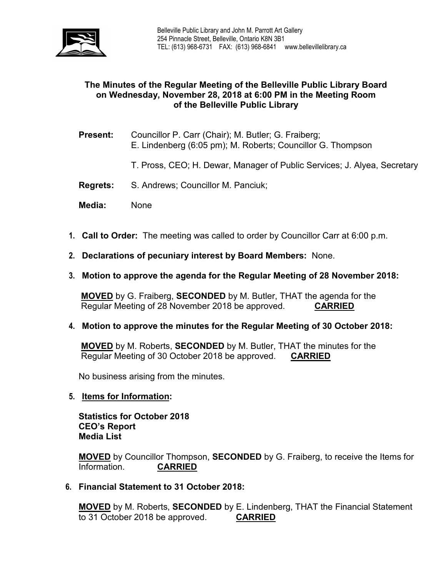

# **The Minutes of the Regular Meeting of the Belleville Public Library Board on Wednesday, November 28, 2018 at 6:00 PM in the Meeting Room of the Belleville Public Library**

- **Present:** Councillor P. Carr (Chair); M. Butler; G. Fraiberg; E. Lindenberg (6:05 pm); M. Roberts; Councillor G. Thompson
	- T. Pross, CEO; H. Dewar, Manager of Public Services; J. Alyea, Secretary
- **Regrets:** S. Andrews; Councillor M. Panciuk;
- **Media:** None
- **1. Call to Order:** The meeting was called to order by Councillor Carr at 6:00 p.m.
- **2. Declarations of pecuniary interest by Board Members:** None.
- **3. Motion to approve the agenda for the Regular Meeting of 28 November 2018:**

**MOVED** by G. Fraiberg, **SECONDED** by M. Butler, THAT the agenda for the Regular Meeting of 28 November 2018 be approved. **CARRIED**

**4. Motion to approve the minutes for the Regular Meeting of 30 October 2018:**

**MOVED** by M. Roberts, **SECONDED** by M. Butler, THAT the minutes for the Regular Meeting of 30 October 2018 be approved. **CARRIED**

No business arising from the minutes.

**5. Items for Information:**

**Statistics for October 2018 CEO's Report Media List**

**MOVED** by Councillor Thompson, **SECONDED** by G. Fraiberg, to receive the Items for Information. **CARRIED**

**6. Financial Statement to 31 October 2018:**

**MOVED** by M. Roberts, **SECONDED** by E. Lindenberg, THAT the Financial Statement to 31 October 2018 be approved. **CARRIED**